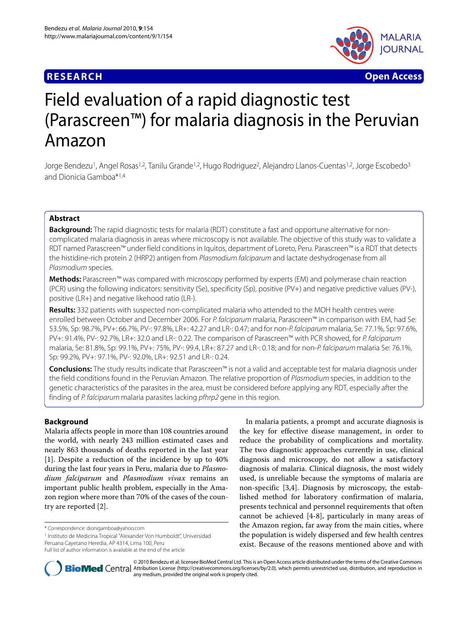# **RESEARCH Open Access**



# Field evaluation of a rapid diagnostic test (Parascreen™) for malaria diagnosis in the Peruvian Amazon

Jorge Bendezu<sup>1</sup>, Angel Rosas<sup>1,2</sup>, Tanilu Grande<sup>1,2</sup>, Hugo Rodriguez<sup>2</sup>, Alejandro Llanos-Cuentas<sup>1,2</sup>, Jorge Escobedo<sup>3</sup> and Dionicia Gamboa\*1,4

# **Abstract**

**Background:** The rapid diagnostic tests for malaria (RDT) constitute a fast and opportune alternative for noncomplicated malaria diagnosis in areas where microscopy is not available. The objective of this study was to validate a RDT named Parascreen™ under field conditions in Iquitos, department of Loreto, Peru. Parascreen™ is a RDT that detects the histidine-rich protein 2 (HRP2) antigen from *Plasmodium falciparum* and lactate deshydrogenase from all Plasmodium species.

**Methods:** Parascreen™ was compared with microscopy performed by experts (EM) and polymerase chain reaction (PCR) using the following indicators: sensitivity (Se), specificity (Sp), positive (PV+) and negative predictive values (PV-), positive (LR+) and negative likehood ratio (LR-).

**Results:** 332 patients with suspected non-complicated malaria who attended to the MOH health centres were enrolled between October and December 2006. For P. falciparum malaria, Parascreen™ in comparison with EM, had Se: 53.5%, Sp: 98.7%, PV+: 66.7%, PV-: 97.8%, LR+: 42.27 and LR-: 0.47; and for non-P. falciparum malaria, Se: 77.1%, Sp: 97.6%, PV+: 91.4%, PV-: 92.7%, LR+: 32.0 and LR-: 0.22. The comparison of Parascreen™ with PCR showed, for P. falciparum malaria, Se: 81.8%, Sp: 99.1%, PV+: 75%, PV-: 99.4, LR+: 87.27 and LR-: 0.18; and for non-P. falciparum malaria Se: 76.1%, Sp: 99.2%, PV+: 97.1%, PV-: 92.0%, LR+: 92.51 and LR-: 0.24.

**Conclusions:** The study results indicate that Parascreen™ is not a valid and acceptable test for malaria diagnosis under the field conditions found in the Peruvian Amazon. The relative proportion of Plasmodium species, in addition to the genetic characteristics of the parasites in the area, must be considered before applying any RDT, especially after the finding of P. falciparum malaria parasites lacking pfhrp2 gene in this region.

# **Background**

Malaria affects people in more than 108 countries around the world, with nearly 243 million estimated cases and nearly 863 thousands of deaths reported in the last year [[1\]](#page-4-0). Despite a reduction of the incidence by up to 40% during the last four years in Peru, malaria due to *Plasmodium falciparum* and *Plasmodium vivax* remains an important public health problem, especially in the Amazon region where more than 70% of the cases of the country are reported [[2\]](#page-4-1).

\* Correspondence: dionigamboa@yahoo.com

1 Instituto de Medicina Tropical "Alexander Von Humboldt", Universidad Peruana Cayetano Heredia, AP 4314, Lima 100, Peru

In malaria patients, a prompt and accurate diagnosis is the key for effective disease management, in order to reduce the probability of complications and mortality. The two diagnostic approaches currently in use, clinical diagnosis and microscopy, do not allow a satisfactory diagnosis of malaria. Clinical diagnosis, the most widely used, is unreliable because the symptoms of malaria are non-specific [[3](#page-4-2)[,4](#page-4-3)]. Diagnosis by microscopy, the established method for laboratory confirmation of malaria, presents technical and personnel requirements that often cannot be achieved [\[4](#page-4-3)-[8\]](#page-4-4), particularly in many areas of the Amazon region, far away from the main cities, where the population is widely dispersed and few health centres exist. Because of the reasons mentioned above and with



© 2010 Bendezu et al; licensee BioMed Central Ltd. This is an Open Access article distributed under the terms of the Creative Commons **Bio Med** Central Attribution License (http://creativecommons.org/licenses/by/2.0), which permits unrestricted use, distribution, and reproduction in any medium, provided the original work is properly cited.

Full list of author information is available at the end of the article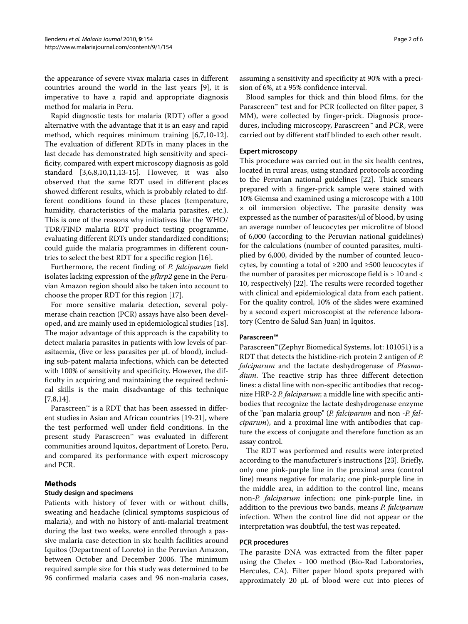the appearance of severe vivax malaria cases in different countries around the world in the last years [\[9](#page-4-5)], it is imperative to have a rapid and appropriate diagnosis method for malaria in Peru.

Rapid diagnostic tests for malaria (RDT) offer a good alternative with the advantage that it is an easy and rapid method, which requires minimum training [[6](#page-4-6),[7,](#page-4-7)[10-](#page-5-0)[12](#page-5-1)]. The evaluation of different RDTs in many places in the last decade has demonstrated high sensitivity and specificity, compared with expert microscopy diagnosis as gold standard [[3,](#page-4-2)[6,](#page-4-6)[8,](#page-4-4)[10,](#page-5-0)[11](#page-5-2)[,13](#page-5-3)-[15](#page-5-4)]. However, it was also observed that the same RDT used in different places showed different results, which is probably related to different conditions found in these places (temperature, humidity, characteristics of the malaria parasites, etc.). This is one of the reasons why initiatives like the WHO/ TDR/FIND malaria RDT product testing programme, evaluating different RDTs under standardized conditions; could guide the malaria programmes in different countries to select the best RDT for a specific region [[16](#page-5-5)].

Furthermore, the recent finding of *P. falciparum* field isolates lacking expression of the *pfhrp2* gene in the Peruvian Amazon region should also be taken into account to choose the proper RDT for this region [\[17](#page-5-6)].

For more sensitive malaria detection, several polymerase chain reaction (PCR) assays have also been developed, and are mainly used in epidemiological studies [\[18](#page-5-7)]. The major advantage of this approach is the capability to detect malaria parasites in patients with low levels of parasitaemia, (five or less parasites per μL of blood), including sub-patent malaria infections, which can be detected with 100% of sensitivity and specificity. However, the difficulty in acquiring and maintaining the required technical skills is the main disadvantage of this technique [[7,](#page-4-7)[8](#page-4-4)[,14\]](#page-5-8).

Parascreen™ is a RDT that has been assessed in different studies in Asian and African countries [\[19](#page-5-9)-[21\]](#page-5-10), where the test performed well under field conditions. In the present study Parascreen™ was evaluated in different communities around Iquitos, department of Loreto, Peru, and compared its performance with expert microscopy and PCR.

# **Methods**

#### **Study design and specimens**

Patients with history of fever with or without chills, sweating and headache (clinical symptoms suspicious of malaria), and with no history of anti-malarial treatment during the last two weeks, were enrolled through a passive malaria case detection in six health facilities around Iquitos (Department of Loreto) in the Peruvian Amazon, between October and December 2006. The minimum required sample size for this study was determined to be 96 confirmed malaria cases and 96 non-malaria cases,

assuming a sensitivity and specificity at 90% with a precision of 6%, at a 95% confidence interval.

Blood samples for thick and thin blood films, for the Parascreen™ test and for PCR (collected on filter paper, 3 MM), were collected by finger-prick. Diagnosis procedures, including microscopy, Parascreen™ and PCR, were carried out by different staff blinded to each other result.

### **Expert microscopy**

This procedure was carried out in the six health centres, located in rural areas, using standard protocols according to the Peruvian national guidelines [\[22](#page-5-11)]. Thick smears prepared with a finger-prick sample were stained with 10% Giemsa and examined using a microscope with a 100  $\times$  oil immersion objective. The parasite density was expressed as the number of parasites/μl of blood, by using an average number of leucocytes per microlitre of blood of 6,000 (according to the Peruvian national guidelines) for the calculations (number of counted parasites, multiplied by 6,000, divided by the number of counted leucocytes, by counting a total of ≥200 and ≥500 leucocytes if the number of parasites per microscope field is > 10 and < 10, respectively) [[22](#page-5-11)]. The results were recorded together with clinical and epidemiological data from each patient. For the quality control, 10% of the slides were examined by a second expert microscopist at the reference laboratory (Centro de Salud San Juan) in Iquitos.

### **Parascreen™**

Parascreen™(Zephyr Biomedical Systems, lot: 101051) is a RDT that detects the histidine-rich protein 2 antigen of *P. falciparum* and the lactate deshydrogenase of *Plasmodium*. The reactive strip has three different detection lines: a distal line with non-specific antibodies that recognize HRP-2 *P. falciparum*; a middle line with specific antibodies that recognize the lactate deshydrogenase enzyme of the "pan malaria group" (*P. falciparum* and non *-P. falciparum*), and a proximal line with antibodies that capture the excess of conjugate and therefore function as an assay control.

The RDT was performed and results were interpreted according to the manufacturer's instructions [\[23\]](#page-5-12). Briefly, only one pink-purple line in the proximal area (control line) means negative for malaria; one pink-purple line in the middle area, in addition to the control line, means non-*P. falciparum* infection; one pink-purple line, in addition to the previous two bands, means *P. falciparum* infection. When the control line did not appear or the interpretation was doubtful, the test was repeated.

#### **PCR procedures**

The parasite DNA was extracted from the filter paper using the Chelex - 100 method (Bio-Rad Laboratories, Hercules, CA). Filter paper blood spots prepared with approximately 20 μL of blood were cut into pieces of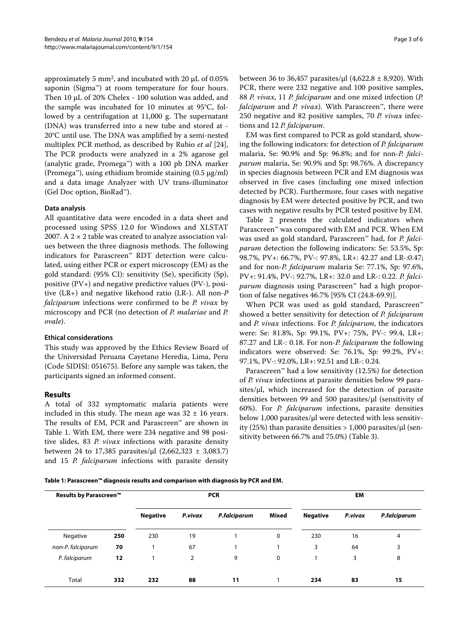approximately 5 mm2, and incubated with 20 μL of 0.05% saponin (Sigma™) at room temperature for four hours. Then 10 μL of 20% Chelex - 100 solution was added, and the sample was incubated for 10 minutes at 95°C, followed by a centrifugation at 11,000 g. The supernatant (DNA) was transferred into a new tube and stored at - 20°C until use. The DNA was amplified by a semi-nested multiplex PCR method, as described by Rubio *et al* [\[24](#page-5-13)], The PCR products were analyzed in a 2% agarose gel (analytic grade, Promega™) with a 100 pb DNA marker (Promega™), using ethidium bromide staining (0.5 μg/ml) and a data image Analyzer with UV trans-illuminator (Gel Doc option, BioRad™).

# **Data analysis**

All quantitative data were encoded in a data sheet and processed using SPSS 12.0 for Windows and XLSTAT 2007. A  $2 \times 2$  table was created to analyze association values between the three diagnosis methods. The following indicators for Parascreen™ RDT detection were calculated, using either PCR or expert microscopy (EM) as the gold standard: (95% CI): sensitivity (Se), specificity (Sp), positive (PV+) and negative predictive values (PV-), positive (LR+) and negative likehood ratio (LR-). All non-*P falciparum* infections were confirmed to be *P. vivax* by microscopy and PCR (no detection of *P. malariae* and *P. ovale*).

### **Ethical considerations**

This study was approved by the Ethics Review Board of the Universidad Peruana Cayetano Heredia, Lima, Peru (Code SIDISI: 051675). Before any sample was taken, the participants signed an informed consent.

#### **Results**

A total of 332 symptomatic malaria patients were included in this study. The mean age was  $32 \pm 16$  years. The results of EM, PCR and Parascreen™ are shown in Table 1. With EM, there were 234 negative and 98 positive slides, 83 *P. vivax* infections with parasite density between 24 to 17,385 parasites/μl  $(2,662,323 \pm 3,083.7)$ and 15 *P. falciparum* infections with parasite density between 36 to 36,457 parasites/μl  $(4,622.8 \pm 8,920)$ . With PCR, there were 232 negative and 100 positive samples, 88 *P. vivax*, 11 *P. falciparum* and one mixed infection (*P. falciparum* and *P. vivax*). With Parascreen™, there were 250 negative and 82 positive samples, 70 *P. vivax* infections and 12 *P. falciparum*.

EM was first compared to PCR as gold standard, showing the following indicators: for detection of *P. falciparum* malaria, Se: 90.9% and Sp: 96.8%; and for non-*P. falciparum* malaria, Se: 90.9% and Sp: 98.76%. A discrepancy in species diagnosis between PCR and EM diagnosis was observed in five cases (including one mixed infection detected by PCR). Furthermore, four cases with negative diagnosis by EM were detected positive by PCR, and two cases with negative results by PCR tested positive by EM.

Table 2 presents the calculated indicators when Parascreen™ was compared with EM and PCR. When EM was used as gold standard, Parascreen™ had, for *P. falciparum* detection the following indicators: Se: 53.5%, Sp: 98.7%, PV+: 66.7%, PV-: 97.8%, LR+: 42.27 and LR-:0.47; and for non-*P. falciparum* malaria Se: 77.1%, Sp: 97.6%, PV+: 91.4%, PV-: 92.7%, LR+: 32.0 and LR-: 0.22. *P. falciparum* diagnosis using Parascreen™ had a high proportion of false negatives 46.7% [95% CI (24.8-69.9)].

When PCR was used as gold standard, Parascreen™ showed a better sensitivity for detection of *P. falciparum* and *P. vivax* infections. For *P. falciparum*, the indicators were: Se: 81.8%, Sp: 99.1%, PV+: 75%, PV-: 99.4, LR+: 87.27 and LR-: 0.18. For non-*P. falciparum* the following indicators were observed: Se: 76.1%, Sp: 99.2%, PV+: 97.1%, PV-: 92.0%, LR+: 92.51 and LR-: 0.24.

Parascreen™ had a low sensitivity (12.5%) for detection of *P. vivax* infections at parasite densities below 99 parasites/μl, which increased for the detection of parasite densities between 99 and 500 parasites/μl (sensitivity of 60%). For *P. falciparum* infections, parasite densities below 1,000 parasites/μl were detected with less sensitivity (25%) than parasite densities  $> 1,000$  parasites/ $\mu$ l (sensitivity between 66.7% and 75.0%) (Table 3).

**Table 1: Parascreen™ diagnosis results and comparison with diagnosis by PCR and EM.**

| Results by Parascreen <sup>™</sup> |     | <b>PCR</b>      |         |              |       | EM              |         |              |
|------------------------------------|-----|-----------------|---------|--------------|-------|-----------------|---------|--------------|
|                                    |     | <b>Negative</b> | P.vivax | P.falciparum | Mixed | <b>Negative</b> | P.vivax | P.falciparum |
| Negative                           | 250 | 230             | 19      |              | 0     | 230             | 16      | 4            |
| non-P. falciparum                  | 70  |                 | 67      |              |       | 3               | 64      | 3            |
| P. falciparum                      | 12  |                 | 2       | 9            | 0     |                 | 3       | 8            |
| Total                              | 332 | 232             | 88      | 11           |       | 234             | 83      | 15           |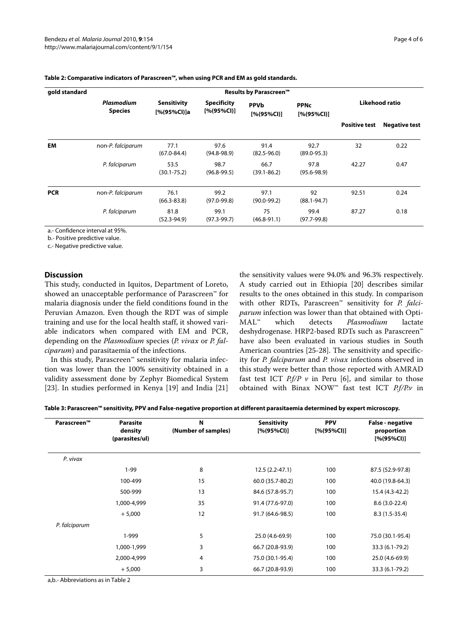| gold standard | Results by Parascreen <sup>™</sup> |                            |                                   |                            |                             |                      |                      |  |
|---------------|------------------------------------|----------------------------|-----------------------------------|----------------------------|-----------------------------|----------------------|----------------------|--|
|               | Plasmodium<br><b>Species</b>       | Sensitivity<br>[%(95%Cl)]a | <b>Specificity</b><br>[% (95%CI)] | <b>PPVb</b><br>[% (95%CI)] | <b>PPNc</b><br>[% (95% CI)] | Likehood ratio       |                      |  |
|               |                                    |                            |                                   |                            |                             | <b>Positive test</b> | <b>Negative test</b> |  |
| EM            | non-P. falciparum                  | 77.1<br>$(67.0 - 84.4)$    | 97.6<br>$(94.8 - 98.9)$           | 91.4<br>$(82.5 - 96.0)$    | 92.7<br>$(89.0 - 95.3)$     | 32                   | 0.22                 |  |
|               | P. falciparum                      | 53.5<br>$(30.1 - 75.2)$    | 98.7<br>$(96.8 - 99.5)$           | 66.7<br>$(39.1 - 86.2)$    | 97.8<br>$(95.6 - 98.9)$     | 42.27                | 0.47                 |  |
| <b>PCR</b>    | non-P. falciparum                  | 76.1<br>$(66.3 - 83.8)$    | 99.2<br>$(97.0 - 99.8)$           | 97.1<br>$(90.0 - 99.2)$    | 92<br>$(88.1 - 94.7)$       | 92.51                | 0.24                 |  |
|               | P. falciparum                      | 81.8<br>$(52.3 - 94.9)$    | 99.1<br>$(97.3 - 99.7)$           | 75<br>$(46.8 - 91.1)$      | 99.4<br>$(97.7 - 99.8)$     | 87.27                | 0.18                 |  |

**Table 2: Comparative indicators of Parascreen™, when using PCR and EM as gold standards.**

a.- Confidence interval at 95%.

b.- Positive predictive value.

c.- Negative predictive value.

# **Discussion**

This study, conducted in Iquitos, Department of Loreto, showed an unacceptable performance of Parascreen™ for malaria diagnosis under the field conditions found in the Peruvian Amazon. Even though the RDT was of simple training and use for the local health staff, it showed variable indicators when compared with EM and PCR, depending on the *Plasmodium* species (*P. vivax* or *P. falciparum*) and parasitaemia of the infections.

In this study, Parascreen™ sensitivity for malaria infection was lower than the 100% sensitivity obtained in a validity assessment done by Zephyr Biomedical System [[23\]](#page-5-12). In studies performed in Kenya [\[19](#page-5-9)] and India [[21](#page-5-10)]

the sensitivity values were 94.0% and 96.3% respectively. A study carried out in Ethiopia [[20\]](#page-5-14) describes similar results to the ones obtained in this study. In comparison with other RDTs, Parascreen™ sensitivity for *P. falciparum* infection was lower than that obtained with Opti-MAL™ which detects *Plasmodium* lactate deshydrogenase. HRP2-based RDTs such as Parascreen™ have also been evaluated in various studies in South American countries [\[25](#page-5-15)[-28](#page-5-16)]. The sensitivity and specificity for *P. falciparum* and *P. vivax* infections observed in this study were better than those reported with AMRAD fast test ICT  $Pf/P$  v in Peru [\[6](#page-4-6)], and similar to those obtained with Binax NOW™ fast test ICT *P.f/P.v* in

|  | Table 3: Parascreen™ sensitivity, PPV and False-negative proportion at different parasitaemia determined by expert microscopy. |  |
|--|--------------------------------------------------------------------------------------------------------------------------------|--|
|--|--------------------------------------------------------------------------------------------------------------------------------|--|

| Parascreen™   | <b>Parasite</b><br>density<br>(parasites/ul) | N<br>(Number of samples) | <b>Sensitivity</b><br>[% (95% CI)] | <b>PPV</b><br>[% (95%CI)] | <b>False - negative</b><br>proportion<br>[% (95% CI)] |
|---------------|----------------------------------------------|--------------------------|------------------------------------|---------------------------|-------------------------------------------------------|
| P. vivax      |                                              |                          |                                    |                           |                                                       |
|               | $1-99$                                       | 8                        | $12.5(2.2 - 47.1)$                 | 100                       | 87.5 (52.9-97.8)                                      |
|               | 100-499                                      | 15                       | 60.0 (35.7-80.2)                   | 100                       | 40.0 (19.8-64.3)                                      |
|               | 500-999                                      | 13                       | 84.6 (57.8-95.7)                   | 100                       | 15.4 (4.3-42.2)                                       |
|               | 1,000-4,999                                  | 35                       | 91.4 (77.6-97.0)                   | 100                       | $8.6(3.0-22.4)$                                       |
|               | $+5,000$                                     | 12                       | 91.7 (64.6-98.5)                   | 100                       | $8.3(1.5-35.4)$                                       |
| P. falciparum |                                              |                          |                                    |                           |                                                       |
|               | 1-999                                        | 5                        | 25.0 (4.6-69.9)                    | 100                       | 75.0 (30.1-95.4)                                      |
|               | 1,000-1,999                                  | 3                        | 66.7 (20.8-93.9)                   | 100                       | 33.3 (6.1-79.2)                                       |
|               | 2,000-4,999                                  | 4                        | 75.0 (30.1-95.4)                   | 100                       | 25.0 (4.6-69.9)                                       |
|               | $+5,000$                                     | 3                        | 66.7 (20.8-93.9)                   | 100                       | 33.3 (6.1-79.2)                                       |

a,b.- Abbreviations as in Table 2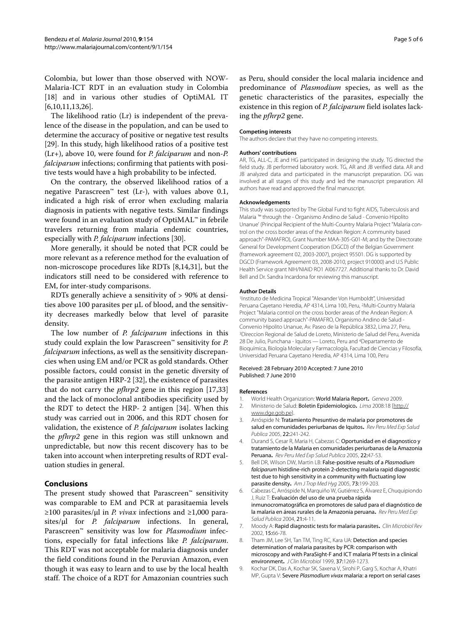Colombia, but lower than those observed with NOW-Malaria-ICT RDT in an evaluation study in Colombia [[18\]](#page-5-7) and in various other studies of OptiMAL IT [[6,](#page-4-6)[10,](#page-5-0)[11](#page-5-2)[,13](#page-5-3)[,26](#page-5-17)].

The likelihood ratio (Lr) is independent of the prevalence of the disease in the population, and can be used to determine the accuracy of positive or negative test results [[29\]](#page-5-18). In this study, high likelihood ratios of a positive test (Lr+), above 10, were found for *P. falciparum* and non-*P. falciparum* infections; confirming that patients with positive tests would have a high probability to be infected.

On the contrary, the observed likelihood ratios of a negative Parascreen<sup>™</sup> test (Lr-), with values above 0.1, indicated a high risk of error when excluding malaria diagnosis in patients with negative tests. Similar findings were found in an evaluation study of OptiMAL™ in febrile travelers returning from malaria endemic countries, especially with *P. falciparum* infections [\[30\]](#page-5-19).

More generally, it should be noted that PCR could be more relevant as a reference method for the evaluation of non-microscope procedures like RDTs [[8,](#page-4-4)[14,](#page-5-8)[31\]](#page-5-20), but the indicators still need to be considered with reference to EM, for inter-study comparisons.

RDTs generally achieve a sensitivity of > 90% at densities above 100 parasites per μL of blood, and the sensitivity decreases markedly below that level of parasite density.

The low number of *P. falciparum* infections in this study could explain the low Parascreen™ sensitivity for *P. falciparum* infections, as well as the sensitivity discrepancies when using EM and/or PCR as gold standards. Other possible factors, could consist in the genetic diversity of the parasite antigen HRP-2 [[32\]](#page-5-21), the existence of parasites that do not carry the *pfhrp2* gene in this region [\[17](#page-5-6),[33](#page-5-22)] and the lack of monoclonal antibodies specificity used by the RDT to detect the HRP- 2 antigen [\[34](#page-5-23)]. When this study was carried out in 2006, and this RDT chosen for validation, the existence of *P. falciparum* isolates lacking the *pfhrp2* gene in this region was still unknown and unpredictable, but now this recent discovery has to be taken into account when interpreting results of RDT evaluation studies in general.

# **Conclusions**

The present study showed that Parascreen™ sensitivity was comparable to EM and PCR at parasitaemia levels ≥100 parasites/μl in *P. vivax* infections and ≥1,000 parasites/μl for *P. falciparum* infections. In general, Parascreen™ sensitivity was low for *Plasmodium* infections, especially for fatal infections like *P. falciparum*. This RDT was not acceptable for malaria diagnosis under the field conditions found in the Peruvian Amazon, even though it was easy to learn and to use by the local health staff. The choice of a RDT for Amazonian countries such

as Peru, should consider the local malaria incidence and predominance of *Plasmodium* species, as well as the genetic characteristics of the parasites, especially the existence in this region of *P. falciparum* field isolates lacking the *pfhrp2* gene.

#### **Competing interests**

The authors declare that they have no competing interests.

#### **Authors' contributions**

AR, TG, ALL-C, JE and HG participated in designing the study. TG directed the field study. JB performed laboratory work. TG, AR and JB verified data. AR and JB analyzed data and participated in the manuscript preparation. DG was involved at all stages of this study and led the manuscript preparation. All authors have read and approved the final manuscript.

#### **Acknowledgements**

This study was supported by The Global Fund to fight AIDS, Tuberculosis and Malaria ™ through the - Organismo Andino de Salud - Convenio Hipolito Unanue' (Principal Recipient of the Multi-Country Malaria Project "Malaria control on the cross border areas of the Andean Region: A community based approach"-PAMAFRO), Grant Number MAA-305-G01-M; and by the Directorate General for Development Cooperation (DGCD) of the Belgian Government (framework agreement 02, 2003-2007), project 95501. DG is supported by DGCD (Framework Agreement 03, 2008-2010, project 910000) and U.S Public Health Service grant NIH/NIAID RO1 AI067727. Additional thanks to Dr. David Bell and Dr. Sandra Incardona for reviewing this manuscript.

#### **Author Details**

1Instituto de Medicina Tropical "Alexander Von Humboldt", Universidad Peruana Cayetano Heredia, AP 4314, Lima 100, Peru, 2Multi-Country Malaria Project "Malaria control on the cross border areas of the Andean Region: A community based approach"-PAMAFRO, Organismo Andino de Salud - Convenio Hipolito Unanue, Av. Paseo de la República 3832, Lima 27, Peru, 3Direccion Regional de Salud de Loreto, Ministerio de Salud del Peru, Avenida 28 De Julio, Punchana - Iquitos — Loreto, Peru and 4Departamento de Bioquímica, Biología Molecular y Farmacología, Facultad de Ciencias y Filosofía, Universidad Peruana Cayetano Heredia, AP 4314, Lima 100, Peru

#### Received: 28 February 2010 Accepted: 7 June 2010 Published: 7 June 2010

#### **References**

- <span id="page-4-0"></span>1. World Health Organization: World Malaria Report**.** Geneva 2009.
- <span id="page-4-1"></span>2. Ministerio de Salud: Boletin Epidemiologico**.** Lima 2008:18 [[http://](http://www.dge.gob.pe) [www.dge.gob.pe](http://www.dge.gob.pe)].
- <span id="page-4-2"></span>Arróspide N: Tratamiento Presuntivo de malaria por promotores de salud en comunidades periurbanas de Iquitos**.** Rev Peru Med Exp Salud Publica 2005, 22:241-242.
- <span id="page-4-3"></span>4. Durand S, Cesar R, Maria H, Cabezas C: Oportunidad en el diagnostico y tratamiento de la Malaria en comunidades periurbanas de la Amazonia Peruana**.** Rev Peru Med Exp Salud Publica 2005, 22:47-53.
- 5. Bell DR, Wilson DW, Martin LB: False-positive results of a Plasmodium falciparum histidine-rich protein 2-detecting malaria rapid diagnostic test due to high sensitivity in a community with fluctuating low parasite density**.** Am J Trop Med Hyg 2005, 73:199-203.
- <span id="page-4-6"></span>6. Cabezas C, Arróspide N, Marquiño W, Gutiérrez S, Álvarez E, Chuquipiondo J, Ruiz T: Evaluación del uso de una prueba rápida inmunocromatográfica en promotores de salud para el diagnóstico de la malaria en áreas rurales de la Amazonia peruana**.** Rev Peru Med Exp Salud Publica 2004, 21:4-11.
- <span id="page-4-7"></span>7. Moody A: Rapid diagnostic tests for malaria parasites**.** Clin Microbiol Rev 2002, 15:66-78.
- <span id="page-4-4"></span>8. Tham JM, Lee SH, Tan TM, Ting RC, Kara UA: Detection and species determination of malaria parasites by PCR: comparison with microscopy and with ParaSight-F and ICT malaria Pf tests in a clinical environment**.** J Clin Microbiol 1999, 37:1269-1273.
- <span id="page-4-5"></span>9. Kochar DK, Das A, Kochar SK, Saxena V, Sirohi P, Garg S, Kochar A, Khatri MP, Gupta V: Severe Plasmodium vivax malaria: a report on serial cases